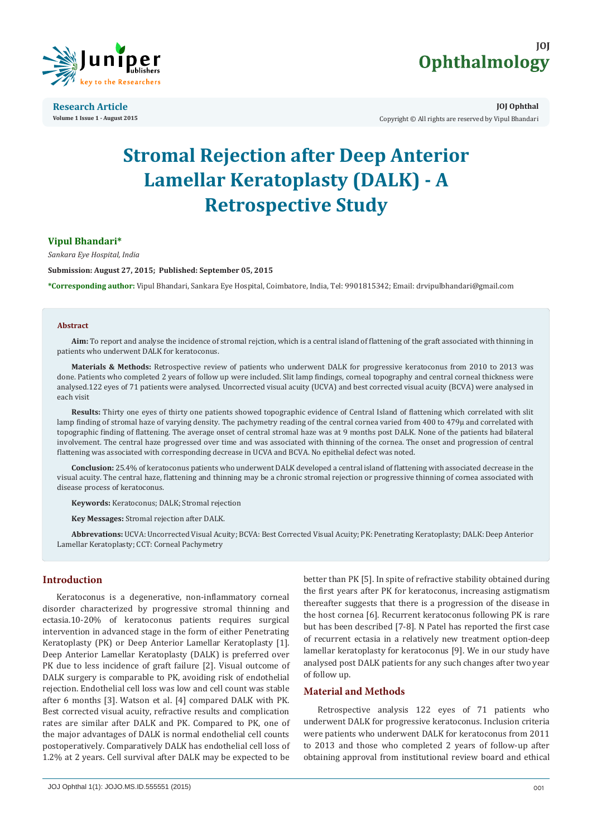

**Research Article Volume 1 Issue 1 - August 2015**



**JOJ Ophthal** Copyright © All rights are reserved by Vipul Bhandari

# **Stromal Rejection after Deep Anterior Lamellar Keratoplasty (DALK) - A Retrospective Study**

# **Vipul Bhandari\***

*Sankara Eye Hospital, India*

**Submission: August 27, 2015; Published: September 05, 2015**

**\*Corresponding author:** Vipul Bhandari, Sankara Eye Hospital, Coimbatore, India, Tel: 9901815342; Email: drvipulbhandari@gmail.com

#### **Abstract**

**Aim:** To report and analyse the incidence of stromal rejction, which is a central island of flattening of the graft associated with thinning in patients who underwent DALK for keratoconus.

**Materials & Methods:** Retrospective review of patients who underwent DALK for progressive keratoconus from 2010 to 2013 was done. Patients who completed 2 years of follow up were included. Slit lamp findings, corneal topography and central corneal thickness were analysed.122 eyes of 71 patients were analysed. Uncorrected visual acuity (UCVA) and best corrected visual acuity (BCVA) were analysed in each visit

**Results:** Thirty one eyes of thirty one patients showed topographic evidence of Central Island of flattening which correlated with slit lamp finding of stromal haze of varying density. The pachymetry reading of the central cornea varied from 400 to 479µ and correlated with topographic finding of flattening. The average onset of central stromal haze was at 9 months post DALK. None of the patients had bilateral involvement. The central haze progressed over time and was associated with thinning of the cornea. The onset and progression of central flattening was associated with corresponding decrease in UCVA and BCVA. No epithelial defect was noted.

**Conclusion:** 25.4% of keratoconus patients who underwent DALK developed a central island of flattening with associated decrease in the visual acuity. The central haze, flattening and thinning may be a chronic stromal rejection or progressive thinning of cornea associated with disease process of keratoconus.

**Keywords:** Keratoconus; DALK; Stromal rejection

**Key Messages:** Stromal rejection after DALK.

**Abbrevations:** UCVA: Uncorrected Visual Acuity; BCVA: Best Corrected Visual Acuity; PK: Penetrating Keratoplasty; DALK: Deep Anterior Lamellar Keratoplasty; CCT: Corneal Pachymetry

# **Introduction**

Keratoconus is a degenerative, non-inflammatory corneal disorder characterized by progressive stromal thinning and ectasia.10-20% of keratoconus patients requires surgical intervention in advanced stage in the form of either Penetrating Keratoplasty (PK) or Deep Anterior Lamellar Keratoplasty [1]. Deep Anterior Lamellar Keratoplasty (DALK) is preferred over PK due to less incidence of graft failure [2]. Visual outcome of DALK surgery is comparable to PK, avoiding risk of endothelial rejection. Endothelial cell loss was low and cell count was stable after 6 months [3]. Watson et al. [4] compared DALK with PK. Best corrected visual acuity, refractive results and complication rates are similar after DALK and PK. Compared to PK, one of the major advantages of DALK is normal endothelial cell counts postoperatively. Comparatively DALK has endothelial cell loss of 1.2% at 2 years. Cell survival after DALK may be expected to be

better than PK [5]. In spite of refractive stability obtained during the first years after PK for keratoconus, increasing astigmatism thereafter suggests that there is a progression of the disease in the host cornea [6]. Recurrent keratoconus following PK is rare but has been described [7-8]. N Patel has reported the first case of recurrent ectasia in a relatively new treatment option-deep lamellar keratoplasty for keratoconus [9]. We in our study have analysed post DALK patients for any such changes after two year of follow up.

# **Material and Methods**

Retrospective analysis 122 eyes of 71 patients who underwent DALK for progressive keratoconus. Inclusion criteria were patients who underwent DALK for keratoconus from 2011 to 2013 and those who completed 2 years of follow-up after obtaining approval from institutional review board and ethical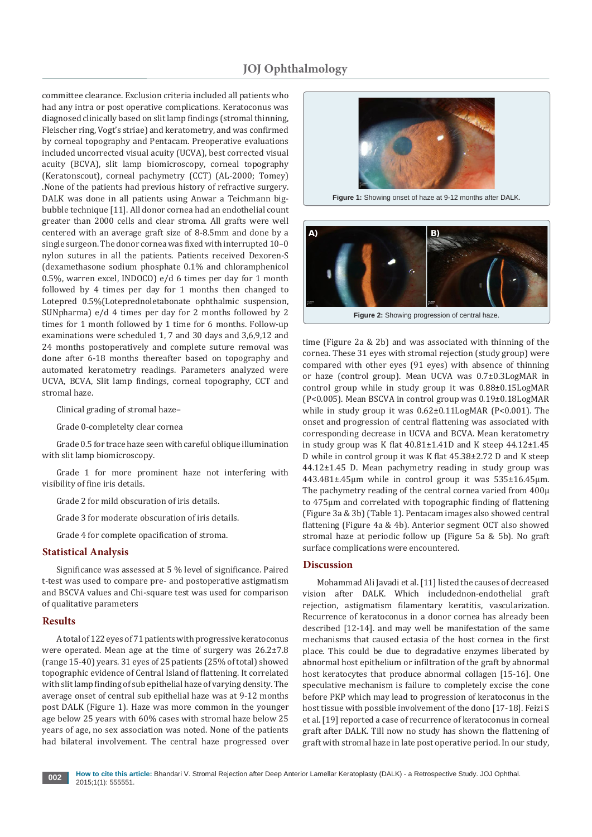committee clearance. Exclusion criteria included all patients who had any intra or post operative complications. Keratoconus was diagnosed clinically based on slit lamp findings (stromal thinning, Fleischer ring, Vogt's striae) and keratometry, and was confirmed by corneal topography and Pentacam. Preoperative evaluations included uncorrected visual acuity (UCVA), best corrected visual acuity (BCVA), slit lamp biomicroscopy, corneal topography (Keratonscout), corneal pachymetry (CCT) (AL-2000; Tomey) .None of the patients had previous history of refractive surgery. DALK was done in all patients using Anwar a Teichmann bigbubble technique [11]. All donor cornea had an endothelial count greater than 2000 cells and clear stroma. All grafts were well centered with an average graft size of 8-8.5mm and done by a single surgeon. The donor cornea was fixed with interrupted 10–0 nylon sutures in all the patients. Patients received Dexoren-S (dexamethasone sodium phosphate 0.1% and chloramphenicol 0.5%, warren excel, INDOCO) e/d 6 times per day for 1 month followed by 4 times per day for 1 months then changed to Lotepred 0.5%(Loteprednoletabonate ophthalmic suspension, SUNpharma) e/d 4 times per day for 2 months followed by 2 times for 1 month followed by 1 time for 6 months. Follow-up examinations were scheduled 1, 7 and 30 days and 3,6,9,12 and 24 months postoperatively and complete suture removal was done after 6-18 months thereafter based on topography and automated keratometry readings. Parameters analyzed were UCVA, BCVA, Slit lamp findings, corneal topography, CCT and stromal haze.

Clinical grading of stromal haze–

Grade 0-completelty clear cornea

Grade 0.5 for trace haze seen with careful oblique illumination with slit lamp biomicroscopy.

Grade 1 for more prominent haze not interfering with visibility of fine iris details.

Grade 2 for mild obscuration of iris details.

Grade 3 for moderate obscuration of iris details.

Grade 4 for complete opacification of stroma.

#### **Statistical Analysis**

Significance was assessed at 5 % level of significance. Paired t-test was used to compare pre- and postoperative astigmatism and BSCVA values and Chi-square test was used for comparison of qualitative parameters

#### **Results**

A total of 122 eyes of 71 patients with progressive keratoconus were operated. Mean age at the time of surgery was 26.2±7.8 (range 15-40) years. 31 eyes of 25 patients (25% of total) showed topographic evidence of Central Island of flattening. It correlated with slit lamp finding of sub epithelial haze of varying density. The average onset of central sub epithelial haze was at 9-12 months post DALK (Figure 1). Haze was more common in the younger age below 25 years with 60% cases with stromal haze below 25 years of age, no sex association was noted. None of the patients had bilateral involvement. The central haze progressed over



**Figure 1:** Showing onset of haze at 9-12 months after DALK.



time (Figure 2a & 2b) and was associated with thinning of the cornea. These 31 eyes with stromal rejection (study group) were compared with other eyes (91 eyes) with absence of thinning or haze (control group). Mean UCVA was 0.7±0.3LogMAR in control group while in study group it was 0.88±0.15LogMAR (P<0.005). Mean BSCVA in control group was 0.19±0.18LogMAR while in study group it was 0.62±0.11LogMAR (P<0.001). The onset and progression of central flattening was associated with corresponding decrease in UCVA and BCVA. Mean keratometry in study group was K flat 40.81±1.41D and K steep 44.12±1.45 D while in control group it was K flat 45.38±2.72 D and K steep 44.12±1.45 D. Mean pachymetry reading in study group was 443.481±.45µm while in control group it was 535±16.45µm. The pachymetry reading of the central cornea varied from 400µ to 475µm and correlated with topographic finding of flattening (Figure 3a & 3b) (Table 1). Pentacam images also showed central flattening (Figure 4a & 4b). Anterior segment OCT also showed stromal haze at periodic follow up (Figure 5a & 5b). No graft surface complications were encountered.

#### **Discussion**

Mohammad Ali Javadi et al. [11] listed the causes of decreased vision after DALK. Which includednon-endothelial graft rejection, astigmatism filamentary keratitis, vascularization. Recurrence of keratoconus in a donor cornea has already been described [12-14]. and may well be manifestation of the same mechanisms that caused ectasia of the host cornea in the first place. This could be due to degradative enzymes liberated by abnormal host epithelium or infiltration of the graft by abnormal host keratocytes that produce abnormal collagen [15-16]. One speculative mechanism is failure to completely excise the cone before PKP which may lead to progression of keratoconus in the host tissue with possible involvement of the dono [17-18]. Feizi S et al. [19] reported a case of recurrence of keratoconus in corneal graft after DALK. Till now no study has shown the flattening of graft with stromal haze in late post operative period. In our study,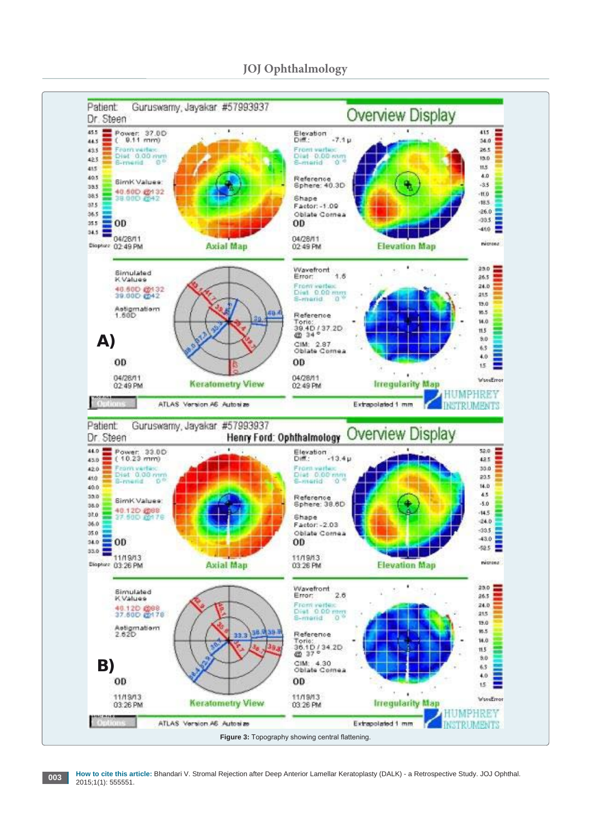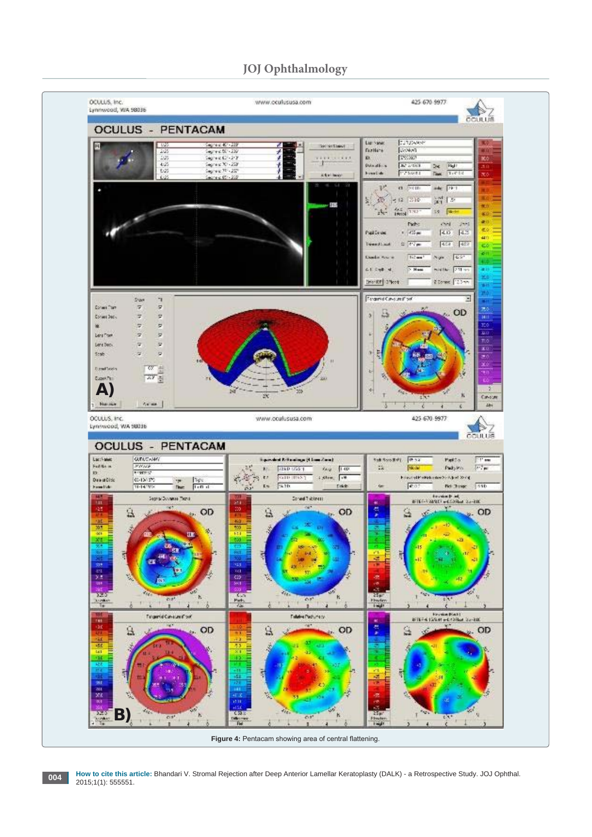# **JOJ Ophthalmology**



**How to cite this article:** Bhandari V. Stromal Rejection after Deep Anterior Lamellar Keratoplasty (DALK) - a Retrospective Study. JOJ Ophthal.<br>2015;1(1): 555551.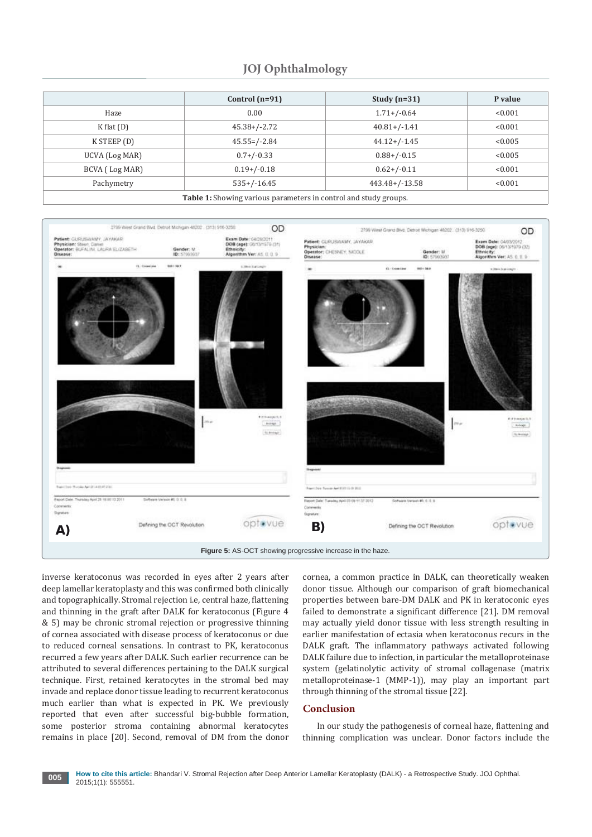# **JOJ Ophthalmology**

|                                                                  | Control $(n=91)$  | Study $(n=31)$    | P value |
|------------------------------------------------------------------|-------------------|-------------------|---------|
|                                                                  |                   |                   |         |
| Haze                                                             | 0.00              | $1.71 + / -0.64$  | < 0.001 |
| $K$ flat $(D)$                                                   | $45.38+/-2.72$    | $40.81 + (-1.41)$ | < 0.001 |
| K STEEP (D)                                                      | $45.55 = / -2.84$ | $44.12+/-1.45$    | < 0.005 |
| UCVA (Log MAR)                                                   | $0.7+/-0.33$      | $0.88 + / -0.15$  | < 0.005 |
| BCVA (Log MAR)                                                   | $0.19+/-0.18$     | $0.62+/-0.11$     | < 0.001 |
| Pachymetry                                                       | $535+/-16.45$     | $443.48+/-13.58$  | < 0.001 |
| Table 1: Showing various parameters in control and study groups. |                   |                   |         |



inverse keratoconus was recorded in eyes after 2 years after deep lamellar keratoplasty and this was confirmed both clinically and topographically. Stromal rejection i.e, central haze, flattening and thinning in the graft after DALK for keratoconus (Figure 4 & 5) may be chronic stromal rejection or progressive thinning of cornea associated with disease process of keratoconus or due to reduced corneal sensations. In contrast to PK, keratoconus recurred a few years after DALK. Such earlier recurrence can be attributed to several differences pertaining to the DALK surgical technique. First, retained keratocytes in the stromal bed may invade and replace donor tissue leading to recurrent keratoconus much earlier than what is expected in PK. We previously reported that even after successful big-bubble formation, some posterior stroma containing abnormal keratocytes remains in place [20]. Second, removal of DM from the donor

cornea, a common practice in DALK, can theoretically weaken donor tissue. Although our comparison of graft biomechanical properties between bare-DM DALK and PK in keratoconic eyes failed to demonstrate a significant difference [21]. DM removal may actually yield donor tissue with less strength resulting in earlier manifestation of ectasia when keratoconus recurs in the DALK graft. The inflammatory pathways activated following DALK failure due to infection, in particular the metalloproteinase system (gelatinolytic activity of stromal collagenase (matrix metalloproteinase-1 (MMP-1)), may play an important part through thinning of the stromal tissue [22].

#### **Conclusion**

In our study the pathogenesis of corneal haze, flattening and thinning complication was unclear. Donor factors include the